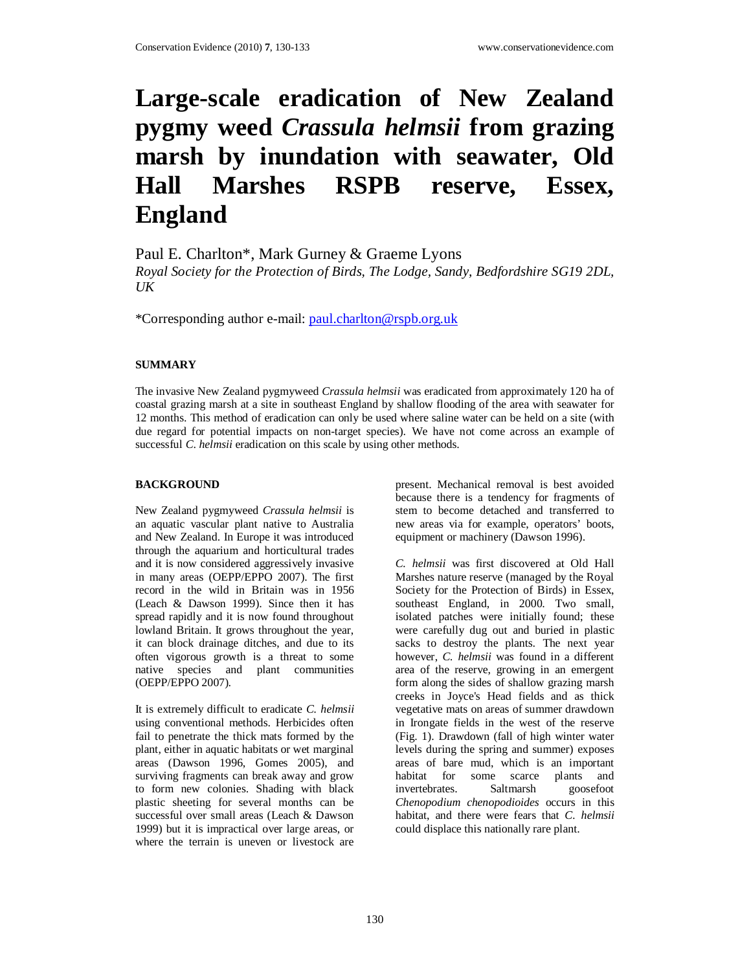# **Large-scale eradication of New Zealand pygmy weed** *Crassula helmsii* **from grazing marsh by inundation with seawater, Old Hall Marshes RSPB reserve, Essex, England**

Paul E. Charlton\*, Mark Gurney & Graeme Lyons

*Royal Society for the Protection of Birds, The Lodge, Sandy, Bedfordshire SG19 2DL,*   $U\mathbf{K}$ 

\*Corresponding author e-mail: paul.charlton@rspb.org.uk

# **SUMMARY**

The invasive New Zealand pygmyweed *Crassula helmsii* was eradicated from approximately 120 ha of coastal grazing marsh at a site in southeast England by shallow flooding of the area with seawater for 12 months. This method of eradication can only be used where saline water can be held on a site (with due regard for potential impacts on non-target species). We have not come across an example of successful *C. helmsii* eradication on this scale by using other methods.

## **BACKGROUND**

New Zealand pygmyweed *Crassula helmsii* is an aquatic vascular plant native to Australia and New Zealand. In Europe it was introduced through the aquarium and horticultural trades and it is now considered aggressively invasive in many areas (OEPP/EPPO 2007). The first record in the wild in Britain was in 1956 (Leach & Dawson 1999). Since then it has spread rapidly and it is now found throughout lowland Britain. It grows throughout the year, it can block drainage ditches, and due to its often vigorous growth is a threat to some native species and plant communities (OEPP/EPPO 2007).

It is extremely difficult to eradicate *C. helmsii* using conventional methods. Herbicides often fail to penetrate the thick mats formed by the plant, either in aquatic habitats or wet marginal areas (Dawson 1996, Gomes 2005), and surviving fragments can break away and grow to form new colonies. Shading with black plastic sheeting for several months can be successful over small areas (Leach & Dawson 1999) but it is impractical over large areas, or where the terrain is uneven or livestock are

present. Mechanical removal is best avoided because there is a tendency for fragments of stem to become detached and transferred to new areas via for example, operators' boots, equipment or machinery (Dawson 1996).

*C. helmsii* was first discovered at Old Hall Marshes nature reserve (managed by the Royal Society for the Protection of Birds) in Essex, southeast England, in 2000. Two small, isolated patches were initially found; these were carefully dug out and buried in plastic sacks to destroy the plants. The next year however, *C. helmsii* was found in a different area of the reserve, growing in an emergent form along the sides of shallow grazing marsh creeks in Joyce's Head fields and as thick vegetative mats on areas of summer drawdown in Irongate fields in the west of the reserve (Fig. 1). Drawdown (fall of high winter water levels during the spring and summer) exposes areas of bare mud, which is an important habitat for some scarce plants and invertebrates. Saltmarsh goosefoot *Chenopodium chenopodioides* occurs in this habitat, and there were fears that *C. helmsii* could displace this nationally rare plant.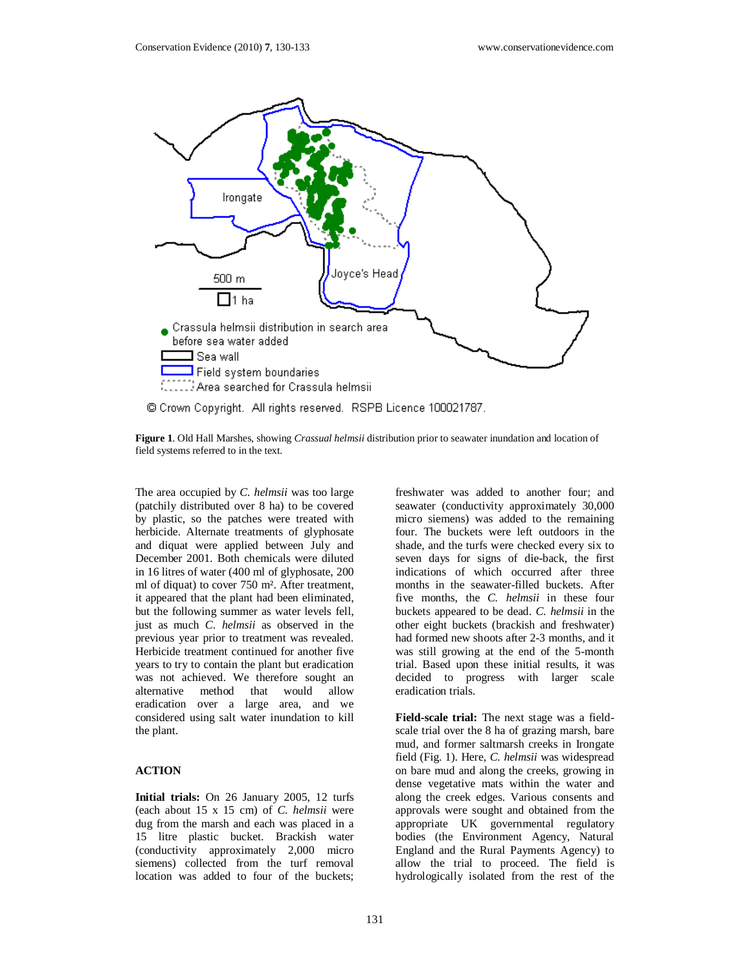

© Crown Copyright. All rights reserved. RSPB Licence 100021787.

**Figure 1**. Old Hall Marshes, showing *Crassual helmsii* distribution prior to seawater inundation and location of field systems referred to in the text.

The area occupied by *C. helmsii* was too large (patchily distributed over 8 ha) to be covered by plastic, so the patches were treated with herbicide. Alternate treatments of glyphosate and diquat were applied between July and December 2001. Both chemicals were diluted in 16 litres of water (400 ml of glyphosate, 200 ml of diquat) to cover 750 m². After treatment, it appeared that the plant had been eliminated, but the following summer as water levels fell, just as much *C. helmsii* as observed in the previous year prior to treatment was revealed. Herbicide treatment continued for another five years to try to contain the plant but eradication was not achieved. We therefore sought an alternative method that would allow eradication over a large area, and we considered using salt water inundation to kill the plant.

# **ACTION**

**Initial trials:** On 26 January 2005, 12 turfs (each about 15 x 15 cm) of *C. helmsii* were dug from the marsh and each was placed in a 15 litre plastic bucket. Brackish water (conductivity approximately 2,000 micro siemens) collected from the turf removal location was added to four of the buckets;

freshwater was added to another four; and seawater (conductivity approximately 30,000 micro siemens) was added to the remaining four. The buckets were left outdoors in the shade, and the turfs were checked every six to seven days for signs of die-back, the first indications of which occurred after three months in the seawater-filled buckets. After five months, the *C. helmsii* in these four buckets appeared to be dead. *C. helmsii* in the other eight buckets (brackish and freshwater) had formed new shoots after 2-3 months, and it was still growing at the end of the 5-month trial. Based upon these initial results, it was decided to progress with larger scale eradication trials.

**Field-scale trial:** The next stage was a fieldscale trial over the 8 ha of grazing marsh, bare mud, and former saltmarsh creeks in Irongate field (Fig. 1). Here, *C. helmsii* was widespread on bare mud and along the creeks, growing in dense vegetative mats within the water and along the creek edges. Various consents and approvals were sought and obtained from the appropriate UK governmental regulatory bodies (the Environment Agency, Natural England and the Rural Payments Agency) to allow the trial to proceed. The field is hydrologically isolated from the rest of the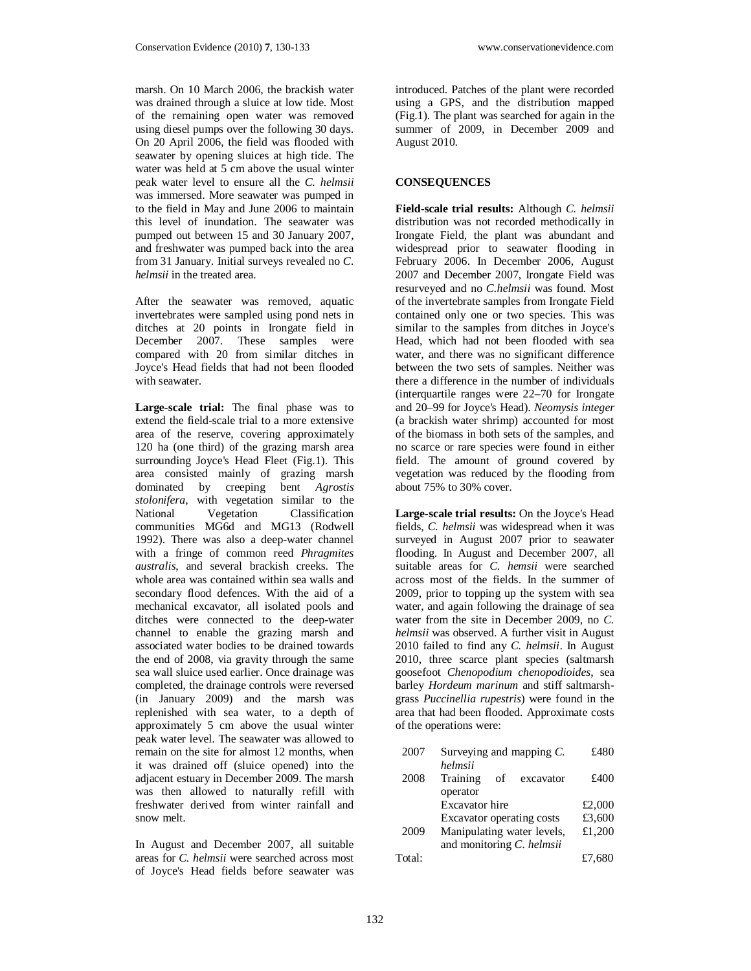marsh. On 10 March 2006, the brackish water was drained through a sluice at low tide. Most of the remaining open water was removed using diesel pumps over the following 30 days. On 20 April 2006, the field was flooded with seawater by opening sluices at high tide. The water was held at 5 cm above the usual winter peak water level to ensure all the *C. helmsii*  was immersed. More seawater was pumped in to the field in May and June 2006 to maintain this level of inundation. The seawater was pumped out between 15 and 30 January 2007, and freshwater was pumped back into the area from 31 January. Initial surveys revealed no *C. helmsii* in the treated area.

After the seawater was removed, aquatic invertebrates were sampled using pond nets in ditches at 20 points in Irongate field in December 2007. These samples were compared with 20 from similar ditches in Joyce's Head fields that had not been flooded with seawater.

**Large-scale trial:** The final phase was to extend the field-scale trial to a more extensive area of the reserve, covering approximately 120 ha (one third) of the grazing marsh area surrounding Joyce's Head Fleet (Fig.1). This area consisted mainly of grazing marsh dominated by creeping bent *Agrostis stolonifera*, with vegetation similar to the National Vegetation Classification communities MG6d and MG13 (Rodwell 1992). There was also a deep-water channel with a fringe of common reed *Phragmites australis*, and several brackish creeks. The whole area was contained within sea walls and secondary flood defences. With the aid of a mechanical excavator, all isolated pools and ditches were connected to the deep-water channel to enable the grazing marsh and associated water bodies to be drained towards the end of 2008, via gravity through the same sea wall sluice used earlier. Once drainage was completed, the drainage controls were reversed (in January 2009) and the marsh was replenished with sea water, to a depth of approximately 5 cm above the usual winter peak water level. The seawater was allowed to remain on the site for almost 12 months, when it was drained off (sluice opened) into the adjacent estuary in December 2009. The marsh was then allowed to naturally refill with freshwater derived from winter rainfall and snow melt.

In August and December 2007, all suitable areas for *C. helmsii* were searched across most of Joyce's Head fields before seawater was

introduced. Patches of the plant were recorded using a GPS, and the distribution mapped (Fig.1). The plant was searched for again in the summer of 2009, in December 2009 and August 2010.

#### **CONSEQUENCES**

**Field-scale trial results:** Although *C. helmsii* distribution was not recorded methodically in Irongate Field, the plant was abundant and widespread prior to seawater flooding in February 2006. In December 2006, August 2007 and December 2007, Irongate Field was resurveyed and no *C.helmsii* was found. Most of the invertebrate samples from Irongate Field contained only one or two species. This was similar to the samples from ditches in Joyce's Head, which had not been flooded with sea water, and there was no significant difference between the two sets of samples. Neither was there a difference in the number of individuals (interquartile ranges were 22–70 for Irongate and 20–99 for Joyce's Head). *Neomysis integer*  (a brackish water shrimp) accounted for most of the biomass in both sets of the samples, and no scarce or rare species were found in either field. The amount of ground covered by vegetation was reduced by the flooding from about 75% to 30% cover.

**Large-scale trial results:** On the Joyce's Head fields, *C. helmsii* was widespread when it was surveyed in August 2007 prior to seawater flooding. In August and December 2007, all suitable areas for *C. hemsii* were searched across most of the fields. In the summer of 2009, prior to topping up the system with sea water, and again following the drainage of sea water from the site in December 2009, no *C. helmsii* was observed. A further visit in August 2010 failed to find any *C. helmsii*. In August 2010, three scarce plant species (saltmarsh goosefoot *Chenopodium chenopodioides*, sea barley *Hordeum marinum* and stiff saltmarshgrass *Puccinellia rupestris*) were found in the area that had been flooded. Approximate costs of the operations were:

| 2007   | Surveying and mapping $C$ . | £480   |
|--------|-----------------------------|--------|
|        | helmsii                     |        |
| 2008   | Training<br>of<br>excavator | £400   |
|        | operator                    |        |
|        | Excavator hire              | £2,000 |
|        | Excavator operating costs   | £3,600 |
| 2009   | Manipulating water levels,  | £1,200 |
|        | and monitoring C. helmsii   |        |
| Total: |                             | £7,680 |